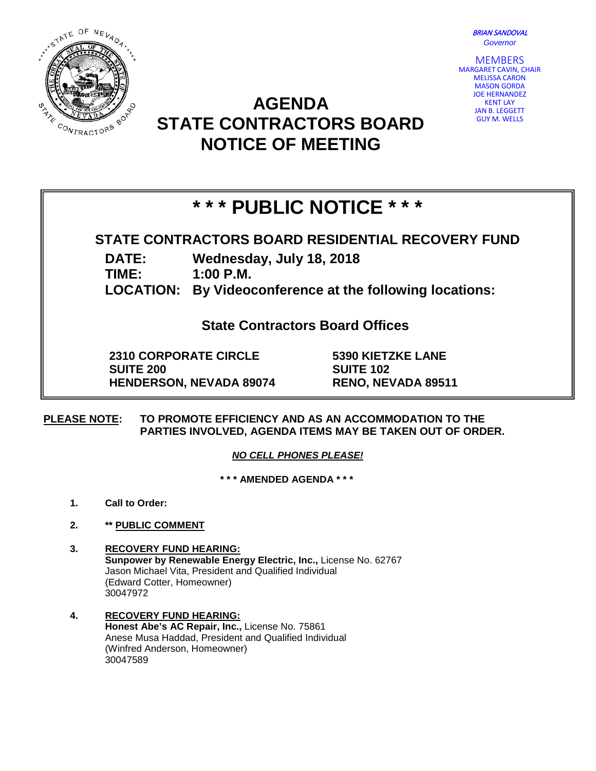



## **AGENDA STATE CONTRACTORS BOARD NOTICE OF MEETING**



# **\* \* \* PUBLIC NOTICE \* \* \***

### **STATE CONTRACTORS BOARD RESIDENTIAL RECOVERY FUND**

**DATE: Wednesday, July 18, 2018**

**TIME: 1:00 P.M.**

**LOCATION: By Videoconference at the following locations:**

**State Contractors Board Offices**

**2310 CORPORATE CIRCLE SUITE 200 HENDERSON, NEVADA 89074** **5390 KIETZKE LANE SUITE 102 RENO, NEVADA 89511**

**PLEASE NOTE: TO PROMOTE EFFICIENCY AND AS AN ACCOMMODATION TO THE PARTIES INVOLVED, AGENDA ITEMS MAY BE TAKEN OUT OF ORDER.**

*NO CELL PHONES PLEASE!* 

**\* \* \* AMENDED AGENDA \* \* \***

- **1. Call to Order:**
- **2. \*\* PUBLIC COMMENT**
- **3. RECOVERY FUND HEARING: Sunpower by Renewable Energy Electric, Inc.,** License No. 62767 Jason Michael Vita, President and Qualified Individual (Edward Cotter, Homeowner) 30047972
- **4. RECOVERY FUND HEARING: Honest Abe's AC Repair, Inc.,** License No. 75861 Anese Musa Haddad, President and Qualified Individual (Winfred Anderson, Homeowner) 30047589